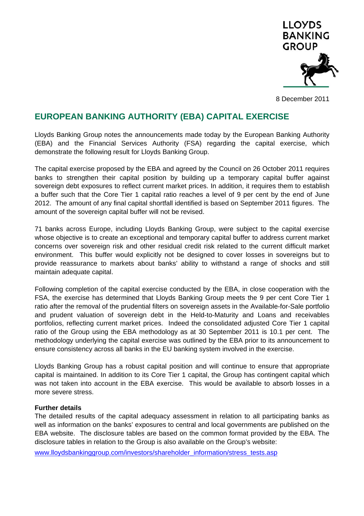

8 December 2011

# **EUROPEAN BANKING AUTHORITY (EBA) CAPITAL EXERCISE**

Lloyds Banking Group notes the announcements made today by the European Banking Authority (EBA) and the Financial Services Authority (FSA) regarding the capital exercise, which demonstrate the following result for Lloyds Banking Group.

The capital exercise proposed by the EBA and agreed by the Council on 26 October 2011 requires banks to strengthen their capital position by building up a temporary capital buffer against sovereign debt exposures to reflect current market prices. In addition, it requires them to establish a buffer such that the Core Tier 1 capital ratio reaches a level of 9 per cent by the end of June 2012. The amount of any final capital shortfall identified is based on September 2011 figures. The amount of the sovereign capital buffer will not be revised.

71 banks across Europe, including Lloyds Banking Group, were subject to the capital exercise whose objective is to create an exceptional and temporary capital buffer to address current market concerns over sovereign risk and other residual credit risk related to the current difficult market environment. This buffer would explicitly not be designed to cover losses in sovereigns but to provide reassurance to markets about banks' ability to withstand a range of shocks and still maintain adequate capital.

Following completion of the capital exercise conducted by the EBA, in close cooperation with the FSA, the exercise has determined that Lloyds Banking Group meets the 9 per cent Core Tier 1 ratio after the removal of the prudential filters on sovereign assets in the Available-for-Sale portfolio and prudent valuation of sovereign debt in the Held-to-Maturity and Loans and receivables portfolios, reflecting current market prices. Indeed the consolidated adjusted Core Tier 1 capital ratio of the Group using the EBA methodology as at 30 September 2011 is 10.1 per cent. The methodology underlying the capital exercise was outlined by the EBA prior to its announcement to ensure consistency across all banks in the EU banking system involved in the exercise.

Lloyds Banking Group has a robust capital position and will continue to ensure that appropriate capital is maintained. In addition to its Core Tier 1 capital, the Group has contingent capital which was not taken into account in the EBA exercise. This would be available to absorb losses in a more severe stress.

## **Further details**

The detailed results of the capital adequacy assessment in relation to all participating banks as well as information on the banks' exposures to central and local governments are published on the EBA website. The disclosure tables are based on the common format provided by the EBA. The disclosure tables in relation to the Group is also available on the Group's website:

www.lloydsbankinggroup.com/investors/shareholder\_information/stress\_tests.asp